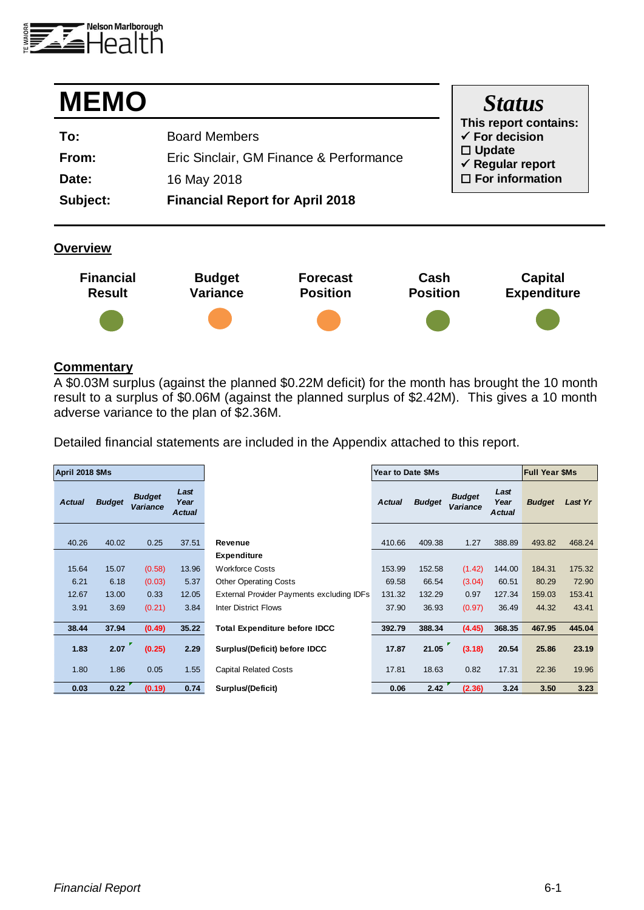

| <b>MEMO</b> |                                         | <b>Status</b>                                      |
|-------------|-----------------------------------------|----------------------------------------------------|
| To:         | <b>Board Members</b>                    | This report contains:<br>$\checkmark$ For decision |
| From:       | Eric Sinclair, GM Finance & Performance | $\Box$ Update<br>$\checkmark$ Regular report       |
| Date:       | 16 May 2018                             | $\Box$ For information                             |
| Subject:    | <b>Financial Report for April 2018</b>  |                                                    |

#### **Overview**



### **Commentary**

A \$0.03M surplus (against the planned \$0.22M deficit) for the month has brought the 10 month result to a surplus of \$0.06M (against the planned surplus of \$2.42M). This gives a 10 month adverse variance to the plan of \$2.36M.

Detailed financial statements are included in the Appendix attached to this report.

| <b>April 2018 \$Ms</b> |               |                                  |                               |                                                  | Year to Date \$Ms |               |                                  |                               | <b>Full Year \$Ms</b> |         |
|------------------------|---------------|----------------------------------|-------------------------------|--------------------------------------------------|-------------------|---------------|----------------------------------|-------------------------------|-----------------------|---------|
| <b>Actual</b>          | <b>Budget</b> | <b>Budget</b><br><b>Variance</b> | Last<br>Year<br><b>Actual</b> |                                                  | <b>Actual</b>     | <b>Budget</b> | <b>Budget</b><br><b>Variance</b> | Last<br>Year<br><b>Actual</b> | <b>Budget</b>         | Last Yr |
| 40.26                  | 40.02         | 0.25                             | 37.51                         | Revenue                                          | 410.66            | 409.38        | 1.27                             | 388.89                        | 493.82                | 468.24  |
|                        |               |                                  |                               | <b>Expenditure</b>                               |                   |               |                                  |                               |                       |         |
| 15.64                  | 15.07         | (0.58)                           | 13.96                         | <b>Workforce Costs</b>                           | 153.99            | 152.58        | (1.42)                           | 144.00                        | 184.31                | 175.32  |
| 6.21                   | 6.18          | (0.03)                           | 5.37                          | <b>Other Operating Costs</b>                     | 69.58             | 66.54         | (3.04)                           | 60.51                         | 80.29                 | 72.90   |
| 12.67                  | 13.00         | 0.33                             | 12.05                         | <b>External Provider Payments excluding IDFs</b> | 131.32            | 132.29        | 0.97                             | 127.34                        | 159.03                | 153.41  |
| 3.91                   | 3.69          | (0.21)                           | 3.84                          | <b>Inter District Flows</b>                      | 37.90             | 36.93         | (0.97)                           | 36.49                         | 44.32                 | 43.41   |
| 38.44                  | 37.94         | (0.49)                           | 35.22                         | <b>Total Expenditure before IDCC</b>             | 392.79            | 388.34        | (4.45)                           | 368.35                        | 467.95                | 445.04  |
| 1.83                   | 2.07          | (0.25)                           | 2.29                          | Surplus/(Deficit) before IDCC                    | 17.87             | 21.05         | (3.18)                           | 20.54                         | 25.86                 | 23.19   |
| 1.80                   | 1.86          | 0.05                             | 1.55                          | <b>Capital Related Costs</b>                     | 17.81             | 18.63         | 0.82                             | 17.31                         | 22.36                 | 19.96   |
| 0.03                   | 0.22          | (0.19)                           | 0.74                          | Surplus/(Deficit)                                | 0.06              | 2.42          | (2.36)                           | 3.24                          | 3.50                  | 3.23    |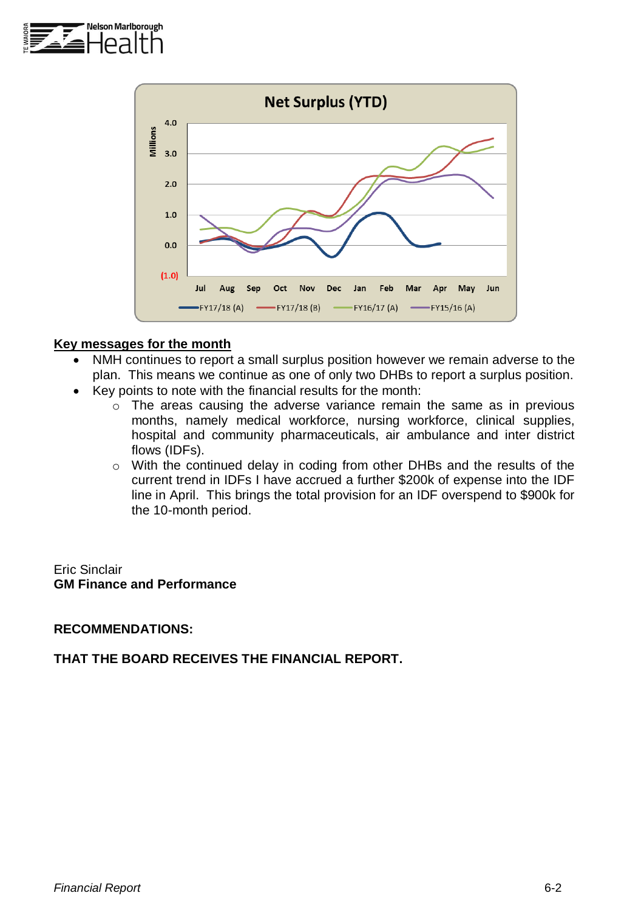



### **Key messages for the month**

- NMH continues to report a small surplus position however we remain adverse to the plan. This means we continue as one of only two DHBs to report a surplus position.
- Key points to note with the financial results for the month:
	- o The areas causing the adverse variance remain the same as in previous months, namely medical workforce, nursing workforce, clinical supplies, hospital and community pharmaceuticals, air ambulance and inter district flows (IDFs).
	- o With the continued delay in coding from other DHBs and the results of the current trend in IDFs I have accrued a further \$200k of expense into the IDF line in April. This brings the total provision for an IDF overspend to \$900k for the 10-month period.

Eric Sinclair **GM Finance and Performance**

#### **RECOMMENDATIONS:**

### **THAT THE BOARD RECEIVES THE FINANCIAL REPORT.**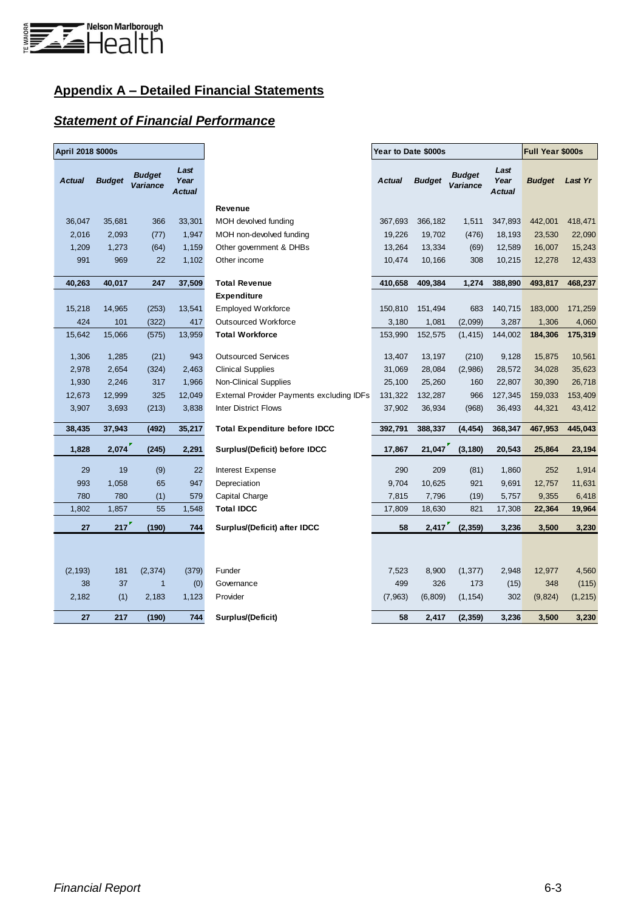

# **Appendix A – Detailed Financial Statements**

### *Statement of Financial Performance*

| April 2018 \$000s |               |                                  |                        |                                                  | Year to Date \$000s |               |                           |                               | Full Year \$000s |          |
|-------------------|---------------|----------------------------------|------------------------|--------------------------------------------------|---------------------|---------------|---------------------------|-------------------------------|------------------|----------|
| <b>Actual</b>     | <b>Budget</b> | <b>Budget</b><br><b>Variance</b> | Last<br>Year<br>Actual |                                                  | <b>Actual</b>       | <b>Budget</b> | <b>Budget</b><br>Variance | Last<br>Year<br><b>Actual</b> | <b>Budget</b>    | Last Yr  |
|                   |               |                                  |                        | Revenue                                          |                     |               |                           |                               |                  |          |
| 36,047            | 35,681        | 366                              | 33,301                 | MOH devolved funding                             | 367,693             | 366,182       | 1,511                     | 347,893                       | 442,001          | 418,471  |
| 2,016             | 2,093         | (77)                             | 1,947                  | MOH non-devolved funding                         | 19,226              | 19,702        | (476)                     | 18,193                        | 23,530           | 22,090   |
| 1,209             | 1,273         | (64)                             | 1,159                  | Other government & DHBs                          | 13,264              | 13,334        | (69)                      | 12,589                        | 16,007           | 15,243   |
| 991               | 969           | 22                               | 1,102                  | Other income                                     | 10,474              | 10,166        | 308                       | 10,215                        | 12,278           | 12,433   |
| 40,263            | 40,017        | 247                              | 37,509                 | <b>Total Revenue</b>                             | 410,658             | 409,384       | 1,274                     | 388,890                       | 493,817          | 468,237  |
|                   |               |                                  |                        | Expenditure                                      |                     |               |                           |                               |                  |          |
| 15,218            | 14,965        | (253)                            | 13,541                 | <b>Employed Workforce</b>                        | 150,810             | 151,494       | 683                       | 140,715                       | 183,000          | 171,259  |
| 424               | 101           | (322)                            | 417                    | <b>Outsourced Workforce</b>                      | 3,180               | 1,081         | (2,099)                   | 3,287                         | 1,306            | 4,060    |
| 15,642            | 15,066        | (575)                            | 13,959                 | <b>Total Workforce</b>                           | 153,990             | 152,575       | (1, 415)                  | 144,002                       | 184,306          | 175,319  |
| 1,306             | 1,285         | (21)                             | 943                    | <b>Outsourced Services</b>                       | 13,407              | 13,197        | (210)                     | 9,128                         | 15,875           | 10,561   |
| 2,978             | 2,654         | (324)                            | 2,463                  | <b>Clinical Supplies</b>                         | 31,069              | 28,084        | (2,986)                   | 28,572                        | 34,028           | 35,623   |
| 1,930             | 2,246         | 317                              | 1,966                  | <b>Non-Clinical Supplies</b>                     | 25,100              | 25,260        | 160                       | 22,807                        | 30,390           | 26,718   |
| 12,673            | 12,999        | 325                              | 12,049                 | <b>External Provider Payments excluding IDFs</b> | 131,322             | 132,287       | 966                       | 127,345                       | 159,033          | 153,409  |
| 3,907             | 3,693         | (213)                            | 3,838                  | <b>Inter District Flows</b>                      | 37,902              | 36,934        | (968)                     | 36,493                        | 44,321           | 43,412   |
| 38,435            | 37,943        | (492)                            | 35,217                 | <b>Total Expenditure before IDCC</b>             | 392,791             | 388,337       | (4, 454)                  | 368,347                       | 467,953          | 445,043  |
| 1,828             | 2,074         | (245)                            | 2,291                  | Surplus/(Deficit) before IDCC                    | 17,867              | 21,047        | (3, 180)                  | 20,543                        | 25,864           | 23,194   |
| 29                | 19            | (9)                              | 22                     | <b>Interest Expense</b>                          | 290                 | 209           | (81)                      | 1,860                         | 252              | 1,914    |
| 993               | 1,058         | 65                               | 947                    | Depreciation                                     | 9,704               | 10,625        | 921                       | 9,691                         | 12,757           | 11,631   |
| 780               | 780           | (1)                              | 579                    | Capital Charge                                   | 7,815               | 7,796         | (19)                      | 5,757                         | 9,355            | 6,418    |
| 1,802             | 1,857         | 55                               | 1,548                  | <b>Total IDCC</b>                                | 17,809              | 18,630        | 821                       | 17,308                        | 22,364           | 19,964   |
| 27                | 217           | (190)                            | 744                    | Surplus/(Deficit) after IDCC                     | 58                  | 2,417         | (2, 359)                  | 3,236                         | 3,500            | 3,230    |
|                   |               |                                  |                        |                                                  |                     |               |                           |                               |                  |          |
| (2, 193)          | 181           | (2, 374)                         | (379)                  | Funder                                           | 7,523               | 8,900         | (1, 377)                  | 2,948                         | 12,977           | 4,560    |
| 38                | 37            | 1                                | (0)                    | Governance                                       | 499                 | 326           | 173                       | (15)                          | 348              | (115)    |
| 2,182             | (1)           | 2,183                            | 1,123                  | Provider                                         | (7,963)             | (6,809)       | (1, 154)                  | 302                           | (9, 824)         | (1, 215) |
| 27                | 217           | (190)                            | 744                    | Surplus/(Deficit)                                | 58                  | 2,417         | (2, 359)                  | 3,236                         | 3,500            | 3,230    |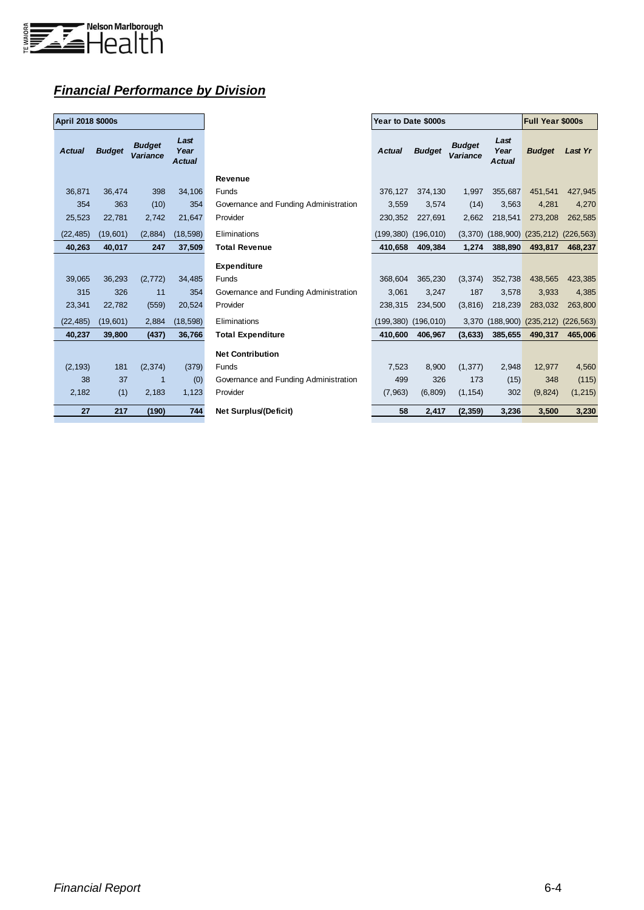

## *Financial Performance by Division*

| April 2018 \$000s |               |                           |                               |  |  |  |  |  |  |
|-------------------|---------------|---------------------------|-------------------------------|--|--|--|--|--|--|
| <b>Actual</b>     | <b>Budget</b> | <b>Budget</b><br>Variance | Last<br>Year<br><b>Actual</b> |  |  |  |  |  |  |
| 36,871            | 36,474        | 398                       | 34,106                        |  |  |  |  |  |  |
| 354               | 363           | (10)                      | 354                           |  |  |  |  |  |  |
| 25,523            | 22,781        | 2,742                     | 21,647                        |  |  |  |  |  |  |
| (22, 485)         | (19,601)      | (2,884)                   | (18, 598)                     |  |  |  |  |  |  |
| 40,263            | 40,017        | 247                       | 37,509                        |  |  |  |  |  |  |
|                   |               |                           |                               |  |  |  |  |  |  |
| 39,065            | 36,293        | (2, 772)                  | 34,485                        |  |  |  |  |  |  |
| 315               | 326           | 11                        | 354                           |  |  |  |  |  |  |
| 23,341            | 22,782        | (559)                     | 20,524                        |  |  |  |  |  |  |
| (22, 485)         | (19,601)      | 2,884                     | (18, 598)                     |  |  |  |  |  |  |
| 40,237            | 39,800        | (437)                     | 36,766                        |  |  |  |  |  |  |
|                   |               |                           |                               |  |  |  |  |  |  |
| (2, 193)          | 181           | (2, 374)                  | (379)                         |  |  |  |  |  |  |
| 38                | 37            | 1                         | (0)                           |  |  |  |  |  |  |
| 2,182             | (1)           | 2,183                     | 1,123                         |  |  |  |  |  |  |
| 27                | 217           | (190)                     | 744                           |  |  |  |  |  |  |

| April 2018 \$000s |               |                                  |                               |                                       | Year to Date \$000s |               | Full Year \$000s          |                               |               |            |
|-------------------|---------------|----------------------------------|-------------------------------|---------------------------------------|---------------------|---------------|---------------------------|-------------------------------|---------------|------------|
| <b>Actual</b>     | <b>Budget</b> | <b>Budget</b><br><b>Variance</b> | Last<br>Year<br><b>Actual</b> |                                       | <b>Actual</b>       | <b>Budget</b> | <b>Budget</b><br>Variance | Last<br>Year<br><b>Actual</b> | <b>Budget</b> | Last Yr    |
|                   |               |                                  |                               | <b>Revenue</b>                        |                     |               |                           |                               |               |            |
| 36,871            | 36.474        | 398                              | 34,106                        | Funds                                 | 376.127             | 374.130       | 1,997                     | 355,687                       | 451,541       | 427,945    |
| 354               | 363           | (10)                             | 354                           | Governance and Funding Administration | 3,559               | 3,574         | (14)                      | 3,563                         | 4,281         | 4,270      |
| 25,523            | 22,781        | 2,742                            | 21,647                        | Provider                              | 230,352             | 227,691       | 2.662                     | 218.541                       | 273,208       | 262,585    |
| (22, 485)         | (19,601)      | (2,884)                          | (18, 598)                     | Eliminations                          | (199, 380)          | (196, 010)    | (3,370)                   | (188,900)                     | (235, 212)    | (226, 563) |
| 40,263            | 40,017        | 247                              | 37,509                        | <b>Total Revenue</b>                  | 410.658             | 409,384       | 1,274                     | 388,890                       | 493.817       | 468,237    |
|                   |               |                                  |                               | <b>Expenditure</b>                    |                     |               |                           |                               |               |            |
| 39,065            | 36.293        | (2, 772)                         | 34,485                        | Funds                                 | 368.604             | 365.230       | (3, 374)                  | 352,738                       | 438,565       | 423,385    |
| 315               | 326           | 11                               | 354                           | Governance and Funding Administration | 3,061               | 3,247         | 187                       | 3.578                         | 3,933         | 4,385      |
| 23,341            | 22.782        | (559)                            | 20,524                        | Provider                              | 238.315             | 234,500       | (3,816)                   | 218,239                       | 283,032       | 263,800    |
| (22, 485)         | (19,601)      | 2,884                            | (18, 598)                     | Eliminations                          | (199, 380)          | (196, 010)    | 3,370                     | (188,900)                     | (235, 212)    | (226, 563) |
| 40,237            | 39,800        | (437)                            | 36,766                        | <b>Total Expenditure</b>              | 410,600             | 406,967       | (3,633)                   | 385,655                       | 490,317       | 465,006    |
|                   |               |                                  |                               | <b>Net Contribution</b>               |                     |               |                           |                               |               |            |
| (2, 193)          | 181           | (2, 374)                         | (379)                         | Funds                                 | 7,523               | 8,900         | (1, 377)                  | 2,948                         | 12,977        | 4,560      |
| 38                | 37            | 1                                | (0)                           | Governance and Funding Administration | 499                 | 326           | 173                       | (15)                          | 348           | (115)      |
| 2,182             | (1)           | 2,183                            | 1,123                         | Provider                              | (7,963)             | (6, 809)      | (1, 154)                  | 302                           | (9,824)       | (1, 215)   |
| 27                | 217           | (190)                            | 744                           | <b>Net Surplus/(Deficit)</b>          | 58                  | 2,417         | (2, 359)                  | 3,236                         | 3,500         | 3,230      |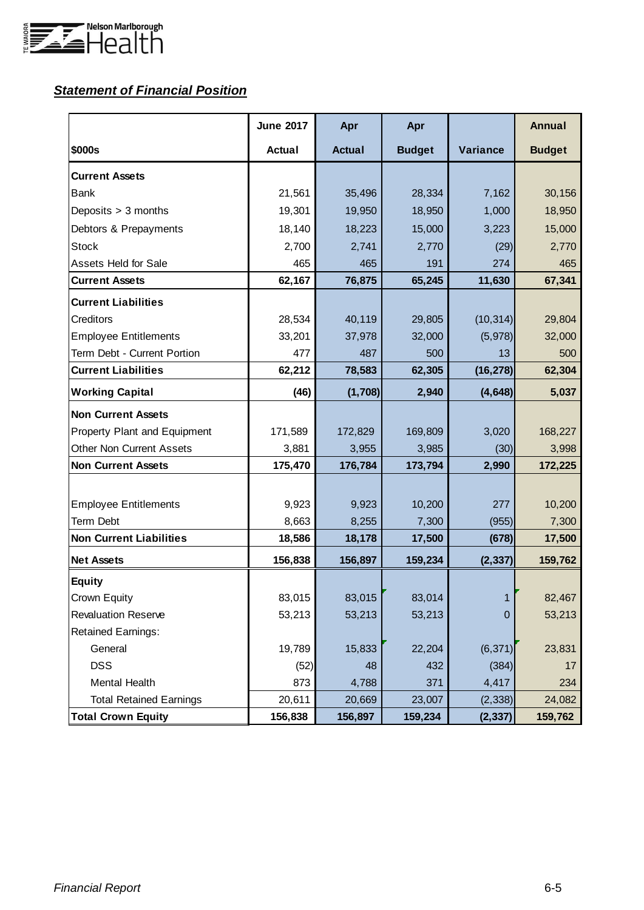

# *Statement of Financial Position*

|                                 | <b>June 2017</b> | Apr           | Apr           |                | <b>Annual</b> |
|---------------------------------|------------------|---------------|---------------|----------------|---------------|
| \$000s                          | <b>Actual</b>    | <b>Actual</b> | <b>Budget</b> | Variance       | <b>Budget</b> |
| <b>Current Assets</b>           |                  |               |               |                |               |
| <b>Bank</b>                     | 21,561           | 35,496        | 28,334        | 7,162          | 30,156        |
| Deposits > 3 months             | 19,301           | 19,950        | 18,950        | 1,000          | 18,950        |
| Debtors & Prepayments           | 18,140           | 18,223        | 15,000        | 3,223          | 15,000        |
| <b>Stock</b>                    | 2,700            | 2,741         | 2,770         | (29)           | 2,770         |
| <b>Assets Held for Sale</b>     | 465              | 465           | 191           | 274            | 465           |
| <b>Current Assets</b>           | 62,167           | 76,875        | 65,245        | 11,630         | 67,341        |
| <b>Current Liabilities</b>      |                  |               |               |                |               |
| <b>Creditors</b>                | 28,534           | 40,119        | 29,805        | (10, 314)      | 29,804        |
| <b>Employee Entitlements</b>    | 33,201           | 37,978        | 32,000        | (5,978)        | 32,000        |
| Term Debt - Current Portion     | 477              | 487           | 500           | 13             | 500           |
| <b>Current Liabilities</b>      | 62,212           | 78,583        | 62,305        | (16, 278)      | 62,304        |
| <b>Working Capital</b>          | (46)             | (1,708)       | 2,940         | (4, 648)       | 5,037         |
| <b>Non Current Assets</b>       |                  |               |               |                |               |
| Property Plant and Equipment    | 171,589          | 172,829       | 169,809       | 3,020          | 168,227       |
| <b>Other Non Current Assets</b> | 3,881            | 3,955         | 3,985         | (30)           | 3,998         |
| <b>Non Current Assets</b>       | 175,470          | 176,784       | 173,794       | 2,990          | 172,225       |
|                                 |                  |               |               |                |               |
| <b>Employee Entitlements</b>    | 9,923            | 9,923         | 10,200        | 277            | 10,200        |
| <b>Term Debt</b>                | 8,663            | 8,255         | 7,300         | (955)          | 7,300         |
| <b>Non Current Liabilities</b>  | 18,586           | 18,178        | 17,500        | (678)          | 17,500        |
| <b>Net Assets</b>               | 156,838          | 156,897       | 159,234       | (2, 337)       | 159,762       |
| <b>Equity</b>                   |                  |               |               |                |               |
| Crown Equity                    | 83,015           | 83,015        | 83,014        | 1 <sup>1</sup> | 82,467        |
| <b>Revaluation Reserve</b>      | 53,213           | 53,213        | 53,213        | 0              | 53,213        |
| <b>Retained Earnings:</b>       |                  |               |               |                |               |
| General                         | 19,789           | 15,833        | 22,204        | (6, 371)       | 23,831        |
| <b>DSS</b>                      | (52)             | 48            | 432           | (384)          | 17            |
| <b>Mental Health</b>            | 873              | 4,788         | 371           | 4,417          | 234           |
| <b>Total Retained Earnings</b>  | 20,611           | 20,669        | 23,007        | (2, 338)       | 24,082        |
| <b>Total Crown Equity</b>       | 156,838          | 156,897       | 159,234       | (2, 337)       | 159,762       |